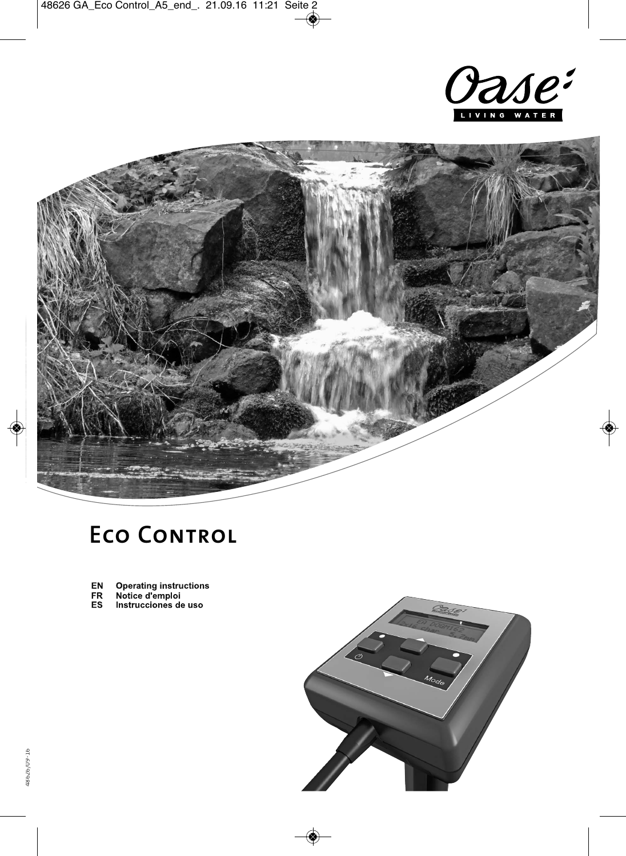



## **Eco Control**

- Operating instructions<br>Notice d'emploi<br>Instrucciones de uso EN
- 
- $F_{ES}$

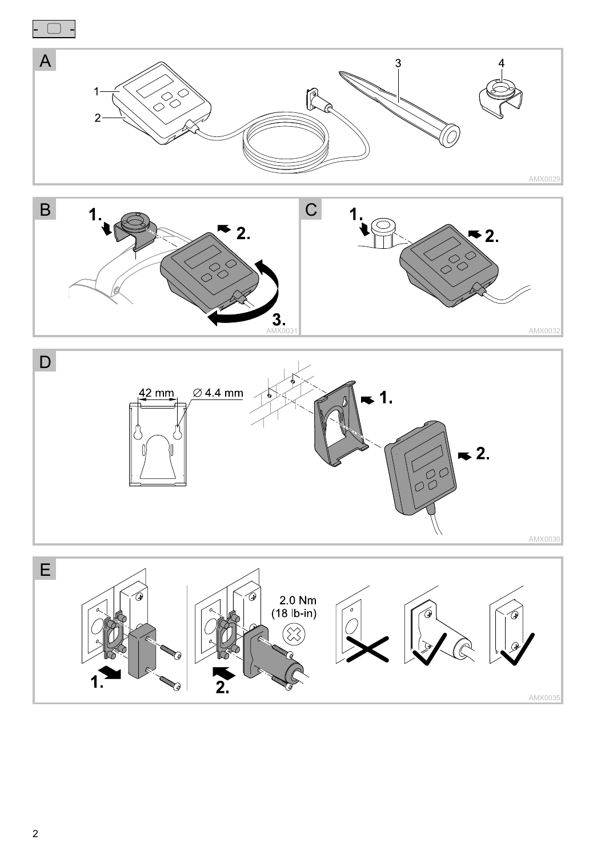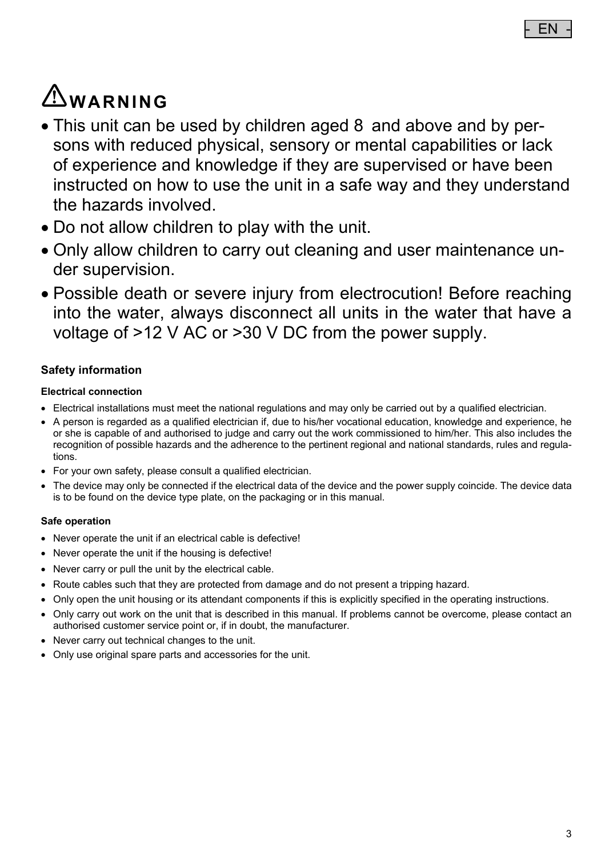# **WARNING**

- This unit can be used by children aged 8 and above and by persons with reduced physical, sensory or mental capabilities or lack of experience and knowledge if they are supervised or have been instructed on how to use the unit in a safe way and they understand the hazards involved.
- Do not allow children to play with the unit.
- Only allow children to carry out cleaning and user maintenance under supervision.
- Possible death or severe injury from electrocution! Before reaching into the water, always disconnect all units in the water that have a voltage of >12 V AC or >30 V DC from the power supply.

### **Safety information**

#### **Electrical connection**

- Electrical installations must meet the national regulations and may only be carried out by a qualified electrician.
- A person is regarded as a qualified electrician if, due to his/her vocational education, knowledge and experience, he or she is capable of and authorised to judge and carry out the work commissioned to him/her. This also includes the recognition of possible hazards and the adherence to the pertinent regional and national standards, rules and regulations.
- For your own safety, please consult a qualified electrician.
- The device may only be connected if the electrical data of the device and the power supply coincide. The device data is to be found on the device type plate, on the packaging or in this manual.

#### **Safe operation**

- Never operate the unit if an electrical cable is defective!
- Never operate the unit if the housing is defective!
- Never carry or pull the unit by the electrical cable.
- Route cables such that they are protected from damage and do not present a tripping hazard.
- Only open the unit housing or its attendant components if this is explicitly specified in the operating instructions.
- Only carry out work on the unit that is described in this manual. If problems cannot be overcome, please contact an authorised customer service point or, if in doubt, the manufacturer.
- Never carry out technical changes to the unit.
- Only use original spare parts and accessories for the unit.

 $FN$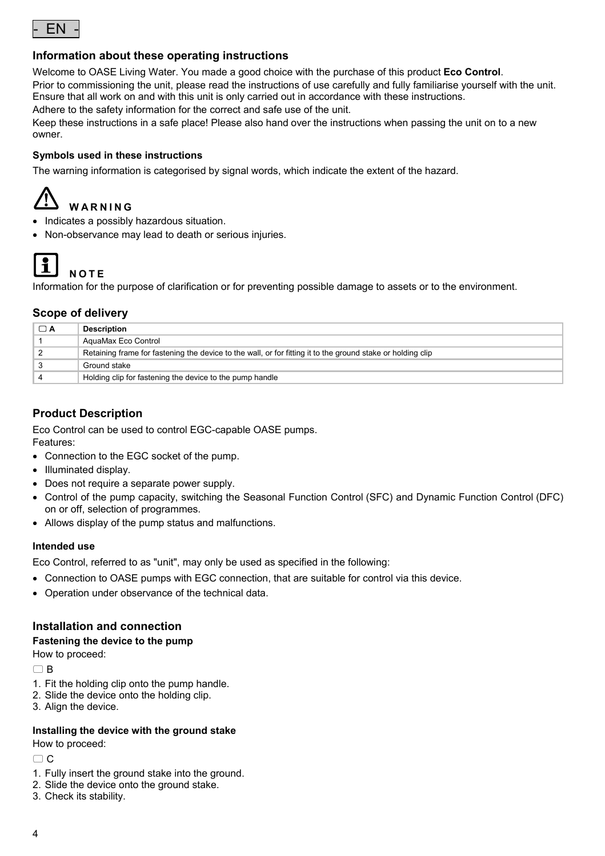

#### **Information about these operating instructions**

Welcome to OASE Living Water. You made a good choice with the purchase of this product **Eco Control**. Prior to commissioning the unit, please read the instructions of use carefully and fully familiarise yourself with the unit. Ensure that all work on and with this unit is only carried out in accordance with these instructions.

Adhere to the safety information for the correct and safe use of the unit.

Keep these instructions in a safe place! Please also hand over the instructions when passing the unit on to a new owner.

#### **Symbols used in these instructions**

The warning information is categorised by signal words, which indicate the extent of the hazard.

### **WARNING**

- Indicates a possibly hazardous situation.
- Non-observance may lead to death or serious injuries.



**NOTE** 

Information for the purpose of clarification or for preventing possible damage to assets or to the environment.

#### **Scope of delivery**

| □ A | <b>Description</b>                                                                                          |
|-----|-------------------------------------------------------------------------------------------------------------|
|     | AguaMax Eco Control                                                                                         |
|     | Retaining frame for fastening the device to the wall, or for fitting it to the ground stake or holding clip |
|     | Ground stake                                                                                                |
|     | Holding clip for fastening the device to the pump handle                                                    |

#### **Product Description**

Eco Control can be used to control EGC-capable OASE pumps.

Features:

- Connection to the EGC socket of the pump.
- Illuminated display.
- Does not require a separate power supply.
- Control of the pump capacity, switching the Seasonal Function Control (SFC) and Dynamic Function Control (DFC) on or off, selection of programmes.
- Allows display of the pump status and malfunctions.

#### **Intended use**

Eco Control, referred to as "unit", may only be used as specified in the following:

- Connection to OASE pumps with EGC connection, that are suitable for control via this device.
- Operation under observance of the technical data.

#### **Installation and connection**

#### **Fastening the device to the pump**

How to proceed:

 $\cap$  B

- 1. Fit the holding clip onto the pump handle.
- 2. Slide the device onto the holding clip.
- 3. Align the device.

#### **Installing the device with the ground stake**

How to proceed:

 $\cap$  C

- 1. Fully insert the ground stake into the ground.
- 2. Slide the device onto the ground stake.
- 3. Check its stability.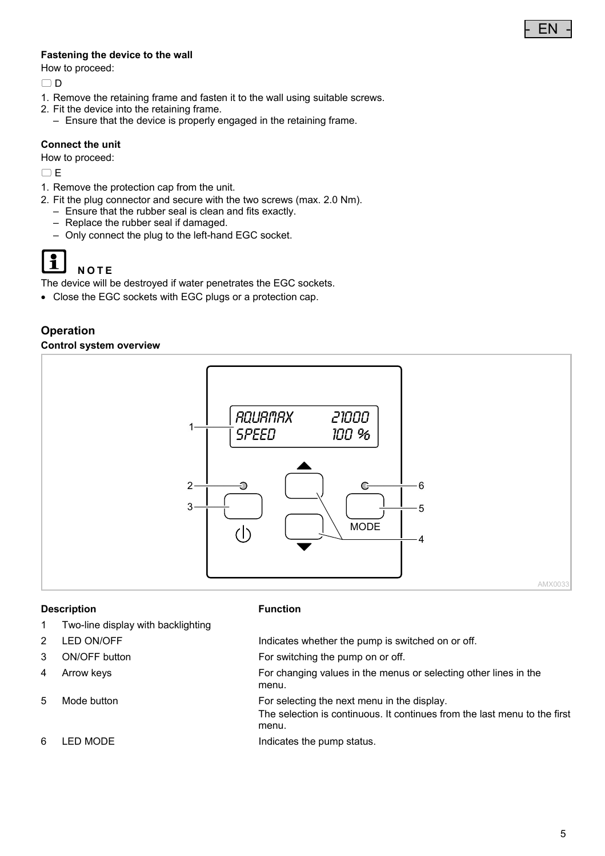#### **Fastening the device to the wall**

How to proceed:

 $\cap$  D

- 1. Remove the retaining frame and fasten it to the wall using suitable screws.
- 2. Fit the device into the retaining frame.
- Ensure that the device is properly engaged in the retaining frame.

#### **Connect the unit**

How to proceed:

 $\Box$ E

- 1. Remove the protection cap from the unit.
- 2. Fit the plug connector and secure with the two screws (max. 2.0 Nm).
	- Ensure that the rubber seal is clean and fits exactly.
	- Replace the rubber seal if damaged.
	- Only connect the plug to the left-hand EGC socket.



#### **NOTE**

The device will be destroyed if water penetrates the EGC sockets.

Close the EGC sockets with EGC plugs or a protection cap.

#### **Operation**

#### **Control system overview**



#### **Description Function**

- 1 Two-line display with backlighting
- 
- 
- 
- 
- 

2 LED ON/OFF **Indicates whether the pump is switched on or off.** 

- 3 ON/OFF button For switching the pump on or off.
- 4 Arrow keys For changing values in the menus or selecting other lines in the menu.
- 5 Mode button **For selecting the next menu in the display.** 
	- The selection is continuous. It continues from the last menu to the first menu.
- 6 LED MODE **Indicates** the pump status.

- EN -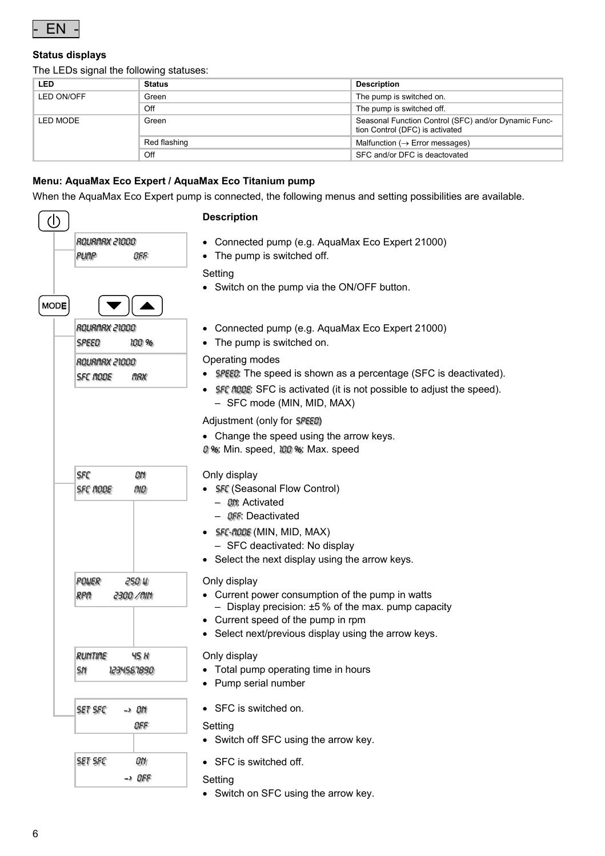

#### **Status displays**

The LEDs signal the following statuses:

| <b>LED</b> | <b>Status</b> | <b>Description</b>                                                                      |
|------------|---------------|-----------------------------------------------------------------------------------------|
| LED ON/OFF | Green         | The pump is switched on.                                                                |
|            | Off           | The pump is switched off.                                                               |
| LED MODE   | Green         | Seasonal Function Control (SFC) and/or Dynamic Func-<br>tion Control (DFC) is activated |
|            | Red flashing  | Malfunction ( $\rightarrow$ Error messages)                                             |
|            | Off           | SFC and/or DFC is deactovated                                                           |

#### **Menu: AquaMax Eco Expert / AquaMax Eco Titanium pump**

When the AquaMax Eco Expert pump is connected, the following menus and setting possibilities are available.

| (I)         |                                                                            | <b>Description</b>                                                                                                                                                                                                                                                                                                                                                                                               |
|-------------|----------------------------------------------------------------------------|------------------------------------------------------------------------------------------------------------------------------------------------------------------------------------------------------------------------------------------------------------------------------------------------------------------------------------------------------------------------------------------------------------------|
| <b>MODE</b> | ROURNAX 21000<br>PUMP<br>OFF                                               | Connected pump (e.g. AquaMax Eco Expert 21000)<br>٠<br>The pump is switched off.<br>٠<br>Setting<br>Switch on the pump via the ON/OFF button.                                                                                                                                                                                                                                                                    |
|             | ROURMAX 21000<br>SPEED<br>100 %<br>ROURARX 21000<br><b>SFC RODE</b><br>MAX | Connected pump (e.g. AquaMax Eco Expert 21000)<br>$\bullet$<br>The pump is switched on.<br>Operating modes<br><b>SPEED:</b> The speed is shown as a percentage (SFC is deactivated).<br><b>SFC MODE:</b> SFC is activated (it is not possible to adjust the speed).<br>- SFC mode (MIN, MID, MAX)<br>Adjustment (only for SPEED)<br>• Change the speed using the arrow keys.<br>0%: Min. speed, 100%: Max. speed |
|             | SFC<br>OΝ<br>nıo<br><b>SFC RODE</b>                                        | Only display<br>• SFC (Seasonal Flow Control)<br>- <i>On</i> t Activated<br>- OFF: Deactivated<br>SFC-RODE (MIN, MID, MAX)<br>- SFC deactivated: No display<br>• Select the next display using the arrow keys.                                                                                                                                                                                                   |
|             | <b>POUER</b><br>250 W<br>RPA<br>2300 /MM                                   | Only display<br>• Current power consumption of the pump in watts<br>- Display precision: $\pm 5$ % of the max. pump capacity<br>• Current speed of the pump in rpm<br>Select next/previous display using the arrow keys.                                                                                                                                                                                         |
|             | <b>RUNTIME</b><br>45 H<br>SΝ<br>1234567890                                 | Only display<br>Total pump operating time in hours<br>Pump serial number                                                                                                                                                                                                                                                                                                                                         |
|             | SET SFC<br>-> 0M<br>OFF                                                    | • SFC is switched on.<br>Setting<br>Switch off SFC using the arrow key.<br>٠                                                                                                                                                                                                                                                                                                                                     |
|             | SET SFC<br>ON.<br>-> OFF                                                   | SFC is switched off.<br>٠<br>Setting<br>Switch on SFC using the arrow key.<br>٠                                                                                                                                                                                                                                                                                                                                  |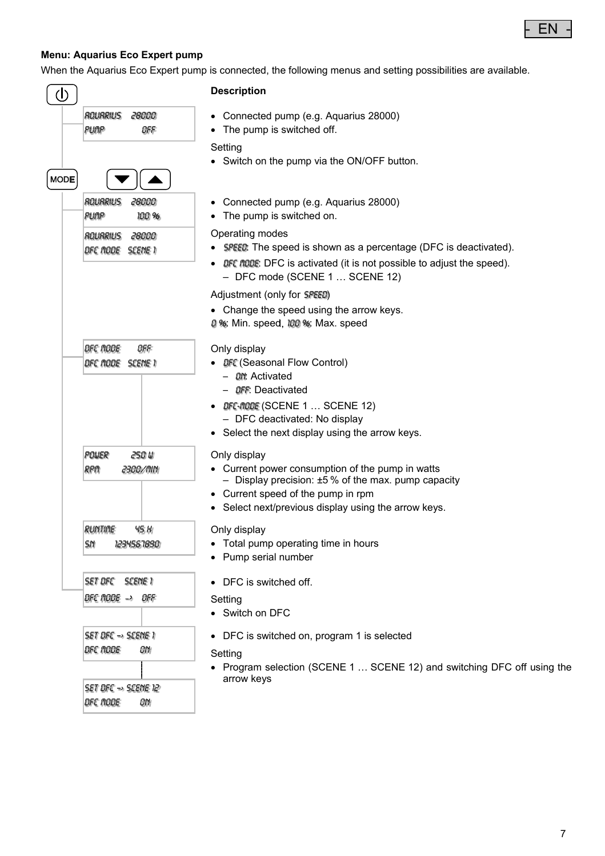

#### **Menu: Aquarius Eco Expert pump**

When the Aquarius Eco Expert pump is connected, the following menus and setting possibilities are available.

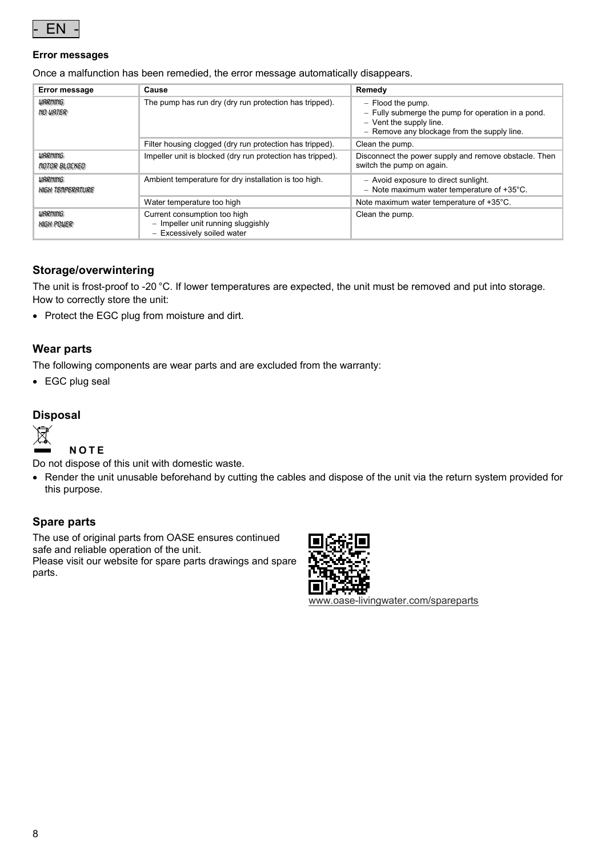

#### **Error messages**

Once a malfunction has been remedied, the error message automatically disappears.

| Error message                                 | Cause                                                                                            | Remedy                                                                                                                                              |
|-----------------------------------------------|--------------------------------------------------------------------------------------------------|-----------------------------------------------------------------------------------------------------------------------------------------------------|
| <b>URRNING</b><br><b>NO URTER</b>             | The pump has run dry (dry run protection has tripped).                                           | $-$ Flood the pump.<br>- Fully submerge the pump for operation in a pond.<br>- Vent the supply line.<br>- Remove any blockage from the supply line. |
|                                               | Filter housing clogged (dry run protection has tripped).                                         | Clean the pump.                                                                                                                                     |
| <b>URRNING</b><br><i><b>MOTOR BLOCKED</b></i> | Impeller unit is blocked (dry run protection has tripped).                                       | Disconnect the power supply and remove obstacle. Then<br>switch the pump on again.                                                                  |
| <b>URRNING</b><br><b>HIGH TEMPERATURE</b>     | Ambient temperature for dry installation is too high.                                            | - Avoid exposure to direct sunlight.<br>- Note maximum water temperature of $+35^{\circ}$ C.                                                        |
|                                               | Water temperature too high                                                                       | Note maximum water temperature of +35°C.                                                                                                            |
| <b>URRNING</b><br><b>HIGH POWER</b>           | Current consumption too high<br>- Impeller unit running sluggishly<br>- Excessively soiled water | Clean the pump.                                                                                                                                     |

#### **Storage/overwintering**

The unit is frost-proof to -20 °C. If lower temperatures are expected, the unit must be removed and put into storage. How to correctly store the unit:

• Protect the EGC plug from moisture and dirt.

#### **Wear parts**

The following components are wear parts and are excluded from the warranty:

EGC plug seal

#### **Disposal**



**NOTE**

Do not dispose of this unit with domestic waste.

 Render the unit unusable beforehand by cutting the cables and dispose of the unit via the return system provided for this purpose.

#### **Spare parts**

The use of original parts from OASE ensures continued safe and reliable operation of the unit.

Please visit our website for spare parts drawings and spare parts.



www.oase-livingwater.com/spareparts